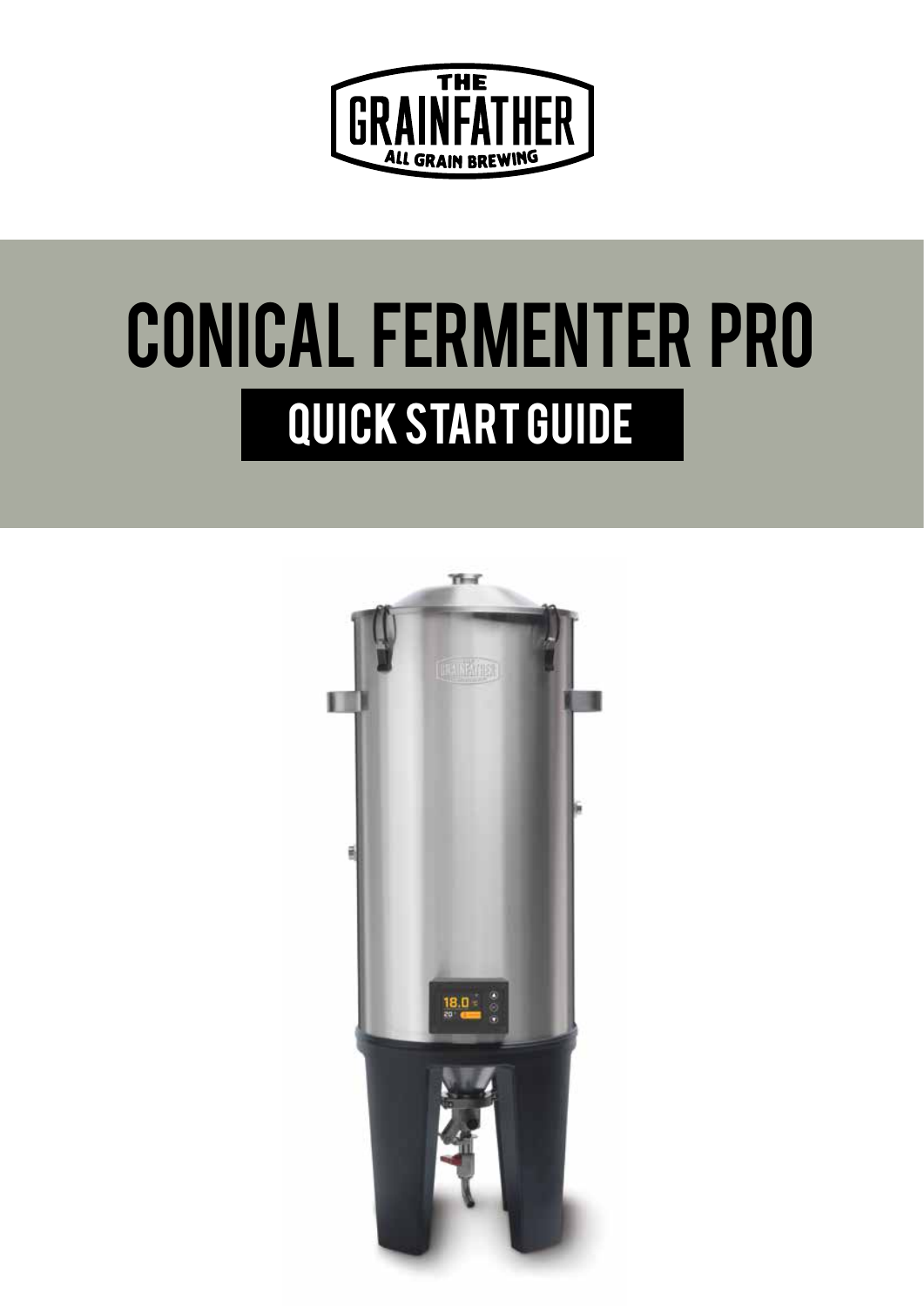

# QUICK START GUIDE CONICAL FERMENTER PRO

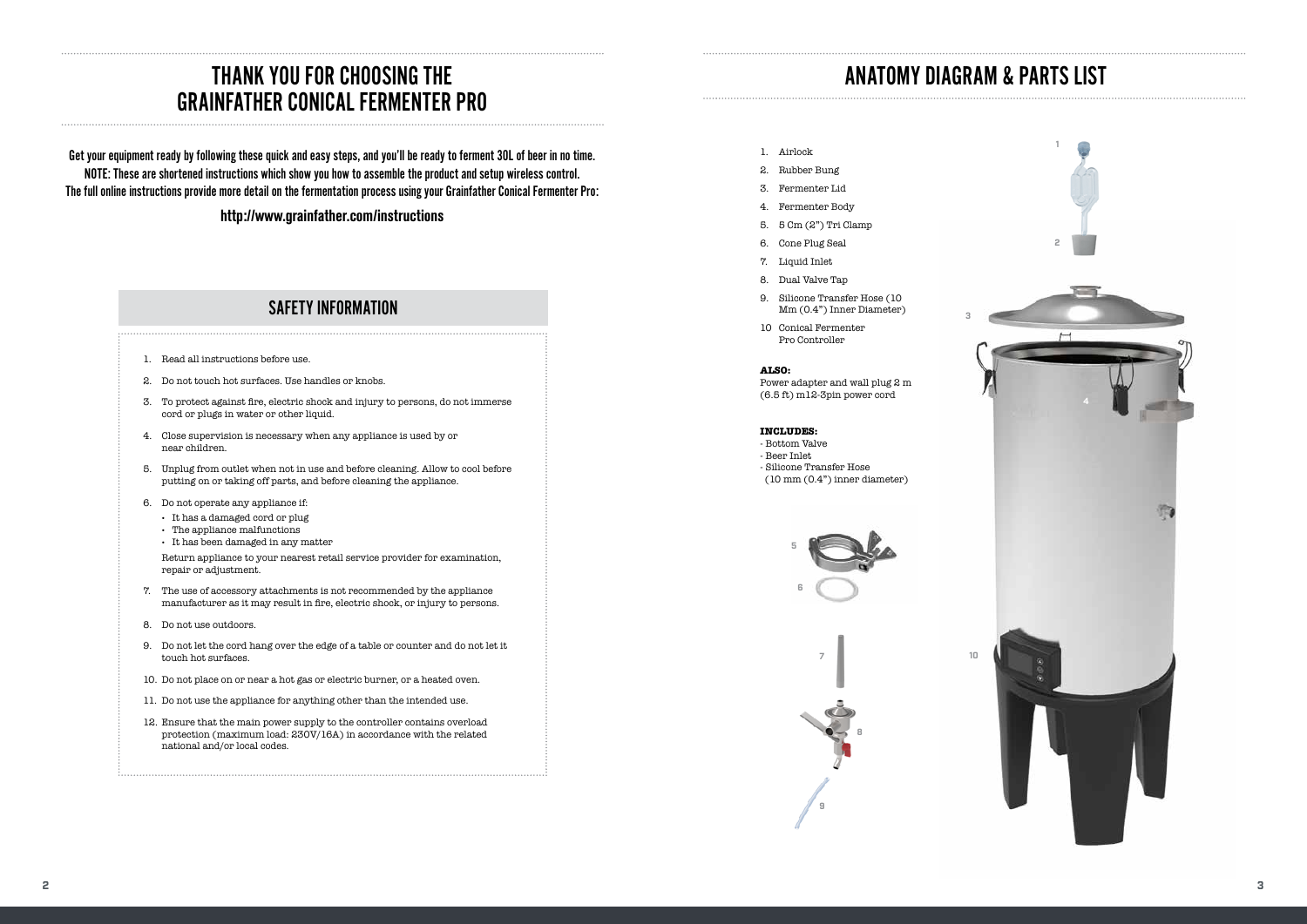# THANK YOU FOR CHOOSING THE GRAINFATHER CONICAL FERMENTER PRO

# ANATOMY DIAGRAM & PARTS LIST

Get your equipment ready by following these quick and easy steps, and you'll be ready to ferment 30L of beer in no time. NOTE: These are shortened instructions which show you how to assemble the product and setup wireless control. The full online instructions provide more detail on the fermentation process using your Grainfather Conical Fermenter Pro:

## **http://www.grainfather.com/instructions**

# SAFETY INFORMATION

- 1. Airlock
- 2. Rubber Bung
- 3. Fermenter Lid
- 4. Fermenter Body
- 5. 5 Cm (2") Tri Clamp
- 6. Cone Plug Seal
- 7. Liquid Inlet
- 8. Dual Valve Tap
- 9. Silicone Transfer Hose (10 Mm (0.4") Inner Diameter)
- 10 Conical Fermenter Pro Controller



#### **ALSO:**

Power adapter and wall plug 2 m (6.5 ft) m12-3pin power cord

#### **INCLUDES:**

- Bottom Valve
- Beer Inlet
- Silicone Transfer Hose
- (10 mm (0.4") inner diameter)

3





- 1. Read all instructions before use.
- 2. Do not touch hot surfaces. Use handles or knobs.
- 3. To protect against fire, electric shock and injury to persons, do not immerse cord or plugs in water or other liquid.
- 4. Close supervision is necessary when any appliance is used by or near children.
- 5. Unplug from outlet when not in use and before cleaning. Allow to cool before putting on or taking off parts, and before cleaning the appliance.
- 6. Do not operate any appliance if:
	- **·** It has a damaged cord or plug
	- **·** The appliance malfunctions
	- **·** It has been damaged in any matter

Return appliance to your nearest retail service provider for examination, repair or adjustment.

- 7. The use of accessory attachments is not recommended by the appliance manufacturer as it may result in fire, electric shock, or injury to persons.
- 8. Do not use outdoors.
- 9. Do not let the cord hang over the edge of a table or counter and do not let it touch hot surfaces.
- 10. Do not place on or near a hot gas or electric burner, or a heated oven.
- 11. Do not use the appliance for anything other than the intended use.
- 12. Ensure that the main power supply to the controller contains overload protection (maximum load: 230V/16A) in accordance with the related national and/or local codes.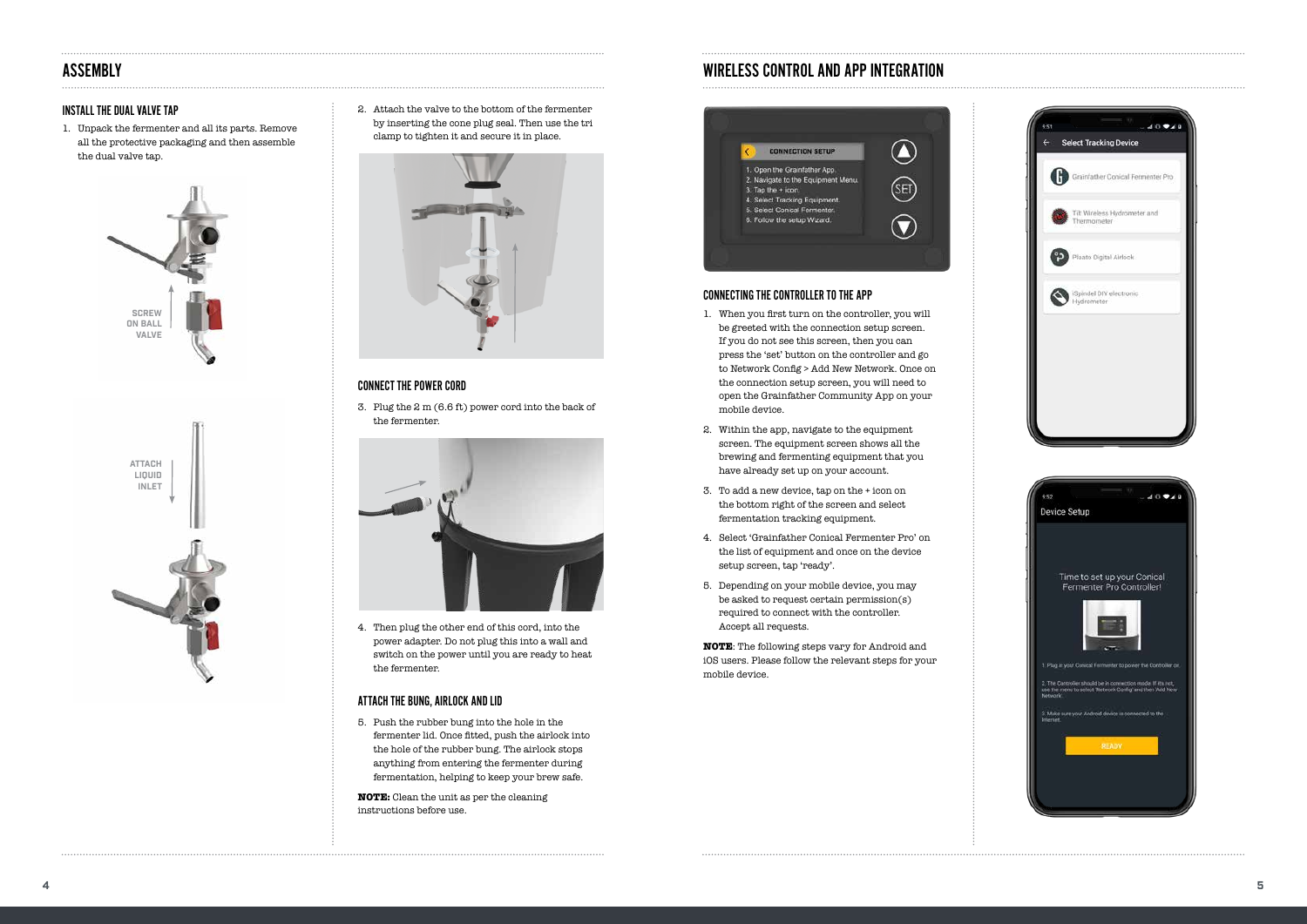#### INSTALL THE DUAL VALVE TAP

1. Unpack the fermenter and all its parts. Remove all the protective packaging and then assemble the dual valve tap.

2. Attach the valve to the bottom of the fermenter by inserting the cone plug seal. Then use the tri clamp to tighten it and secure it in place.



4. Then plug the other end of this cord, into the power adapter. Do not plug this into a wall and switch on the power until you are ready to heat the fermenter.

#### ATTACH THE BUNG, AIRLOCK AND LID

5. Push the rubber bung into the hole in the fermenter lid. Once fitted, push the airlock into the hole of the rubber bung. The airlock stops anything from entering the fermenter during fermentation, helping to keep your brew safe.

**NOTE:** Clean the unit as per the cleaning instructions before use.





# ASSEMBLY WIRELESS CONTROL AND APP INTEGRATION







### CONNECTING THE CONTROLLER TO THE APP

- 1. When you first turn on the controller, you will be greeted with the connection setup screen. If you do not see this screen, then you can press the 'set' button on the controller and go to Network Config > Add New Network. Once on the connection setup screen, you will need to open the Grainfather Community App on your mobile device.
- 2. Within the app, navigate to the equipment screen. The equipment screen shows all the brewing and fermenting equipment that you have already set up on your account.
- 3. To add a new device, tap on the + icon on the bottom right of the screen and select fermentation tracking equipment.
- 4. Select 'Grainfather Conical Fermenter Pro' on the list of equipment and once on the device setup screen, tap 'ready'.
- 5. Depending on your mobile device, you may be asked to request certain permission(s) required to connect with the controller. Accept all requests.

**NOTE**: The following steps vary for Android and iOS users. Please follow the relevant steps for your mobile device.

#### CONNECT THE POWER CORD

3. Plug the 2 m (6.6 ft) power cord into the back of the fermenter.

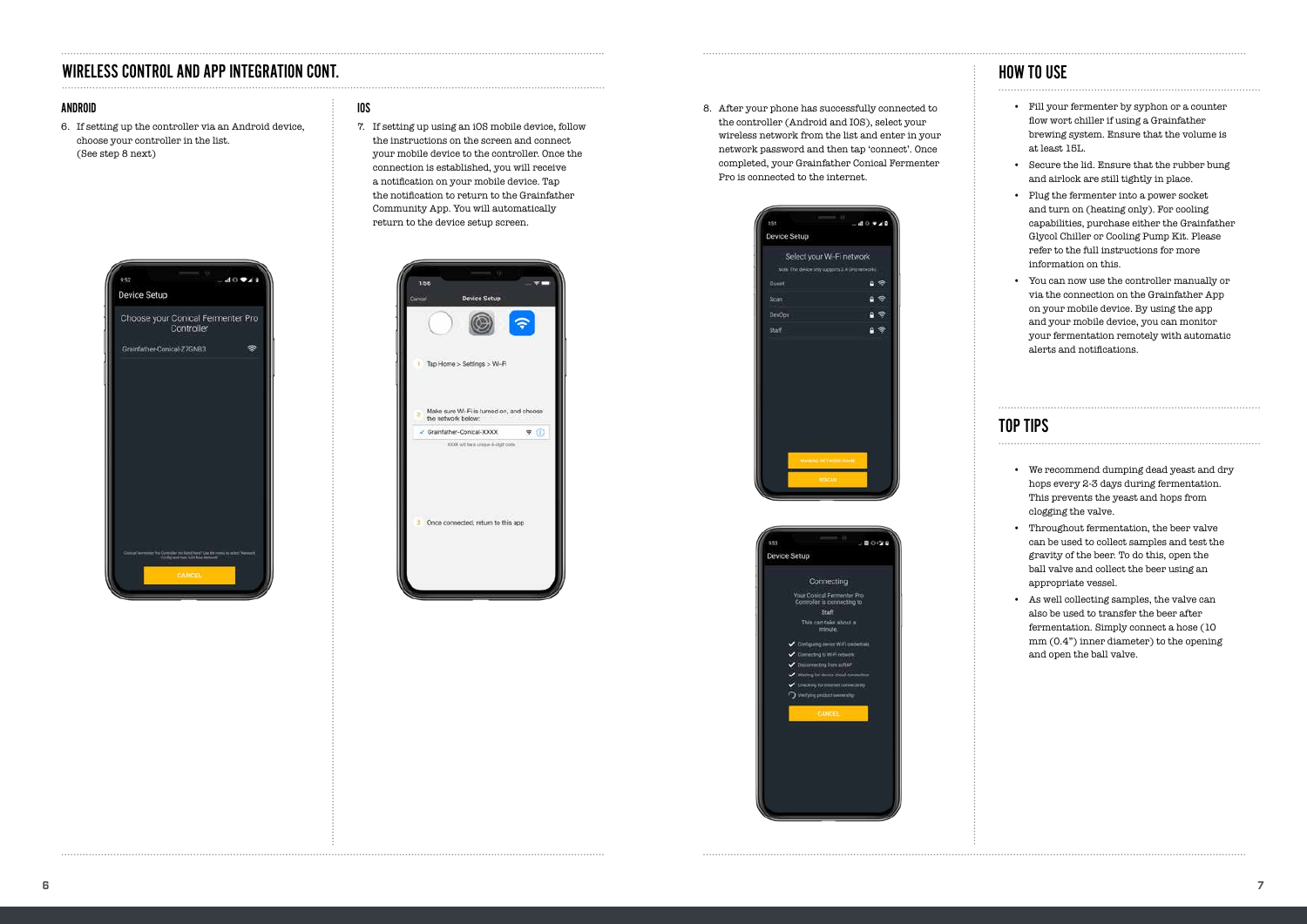# WIRELESS CONTROL AND APP INTEGRATION CONT.

### IOS

7. If setting up using an iOS mobile device, follow the instructions on the screen and connect your mobile device to the controller. Once the connection is established, you will receive a notification on your mobile device. Tap the notification to return to the Grainfather Community App. You will automatically return to the device setup screen.



#### ANDROID

6. If setting up the controller via an Android device, choose your controller in the list. (See step 8 next)



8. After your phone has successfully connected to the controller (Android and IOS), select your wireless network from the list and enter in your network password and then tap 'connect'. Once completed, your Grainfather Conical Fermenter Pro is connected to the internet.





- Fill your fermenter by syphon or a counter flow wort chiller if using a Grainfather brewing system. Ensure that the volume is at least 15L.
- Secure the lid. Ensure that the rubber bung and airlock are still tightly in place.
- Plug the fermenter into a power socket and turn on (heating only). For cooling capabilities, purchase either the Grainfather Glycol Chiller or Cooling Pump Kit. Please refer to the full instructions for more information on this.
- You can now use the controller manually or via the connection on the Grainfather App on your mobile device. By using the app and your mobile device, you can monitor your fermentation remotely with automatic alerts and notifications.

- We recommend dumping dead yeast and dry hops every 2-3 days during fermentation. This prevents the yeast and hops from clogging the valve.
- • Throughout fermentation, the beer valve can be used to collect samples and test the gravity of the beer. To do this, open the ball valve and collect the beer using an appropriate vessel.
- • As well collecting samples, the valve can also be used to transfer the beer after fermentation. Simply connect a hose (10 mm (0.4") inner diameter) to the opening and open the ball valve.

## HOW TO USE

# TOP TIPS